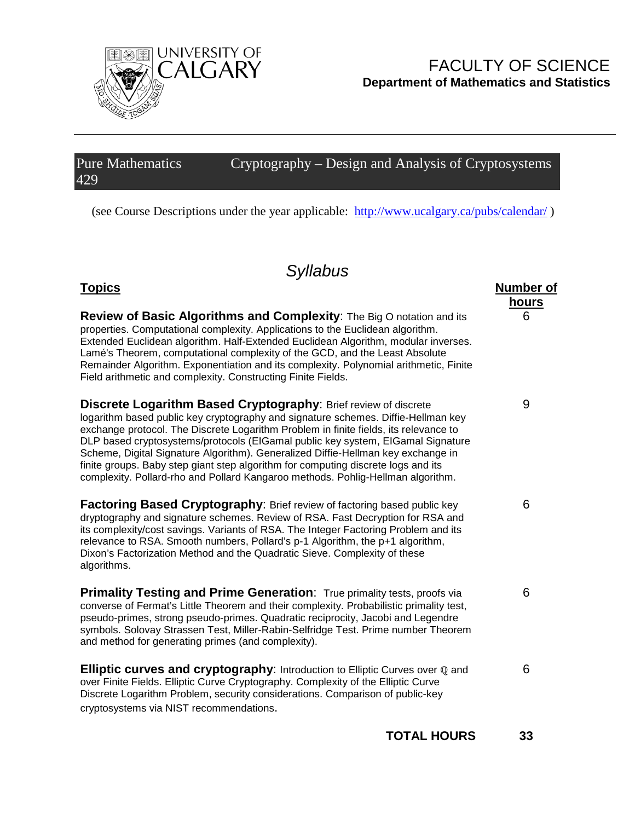

# FACULTY OF SCIENCE **Department of Mathematics and Statistics**

**hours**

6

9

6

6

#### Pure Mathematics 429 Cryptography – Design and Analysis of Cryptosystems

(see Course Descriptions under the year applicable: <http://www.ucalgary.ca/pubs/calendar/> )

# *Syllabus*

## **Topics Number of**

**Review of Basic Algorithms and Complexity**: The Big O notation and its properties. Computational complexity. Applications to the Euclidean algorithm. Extended Euclidean algorithm. Half-Extended Euclidean Algorithm, modular inverses. Lamé's Theorem, computational complexity of the GCD, and the Least Absolute Remainder Algorithm. Exponentiation and its complexity. Polynomial arithmetic, Finite Field arithmetic and complexity. Constructing Finite Fields. **Discrete Logarithm Based Cryptography**: Brief review of discrete

logarithm based public key cryptography and signature schemes. Diffie-Hellman key exchange protocol. The Discrete Logarithm Problem in finite fields, its relevance to DLP based cryptosystems/protocols (EIGamal public key system, EIGamal Signature Scheme, Digital Signature Algorithm). Generalized Diffie-Hellman key exchange in finite groups. Baby step giant step algorithm for computing discrete logs and its complexity. Pollard-rho and Pollard Kangaroo methods. Pohlig-Hellman algorithm.

**Factoring Based Cryptography**: Brief review of factoring based public key dryptography and signature schemes. Review of RSA. Fast Decryption for RSA and its complexity/cost savings. Variants of RSA. The Integer Factoring Problem and its relevance to RSA. Smooth numbers, Pollard's p-1 Algorithm, the p+1 algorithm, Dixon's Factorization Method and the Quadratic Sieve. Complexity of these algorithms.

**Primality Testing and Prime Generation:** True primality tests, proofs via converse of Fermat's Little Theorem and their complexity. Probabilistic primality test, pseudo-primes, strong pseudo-primes. Quadratic reciprocity, Jacobi and Legendre symbols. Solovay Strassen Test, Miller-Rabin-Selfridge Test. Prime number Theorem and method for generating primes (and complexity).

**Elliptic curves and cryptography:** Introduction to Elliptic Curves over ℚ and over Finite Fields. Elliptic Curve Cryptography. Complexity of the Elliptic Curve Discrete Logarithm Problem, security considerations. Comparison of public-key cryptosystems via NIST recommendations.

6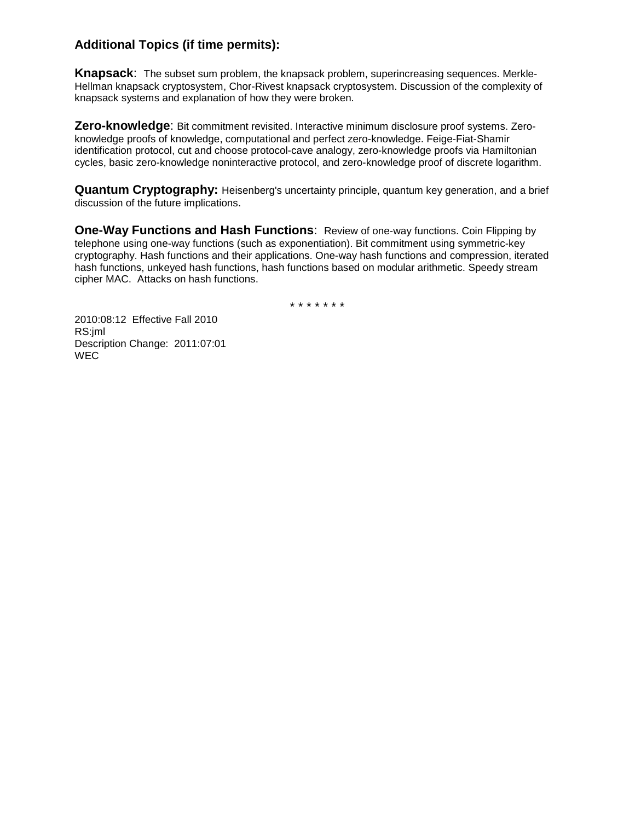### **Additional Topics (if time permits):**

**Knapsack**: The subset sum problem, the knapsack problem, superincreasing sequences. Merkle-Hellman knapsack cryptosystem, Chor-Rivest knapsack cryptosystem. Discussion of the complexity of knapsack systems and explanation of how they were broken.

**Zero-knowledge**: Bit commitment revisited. Interactive minimum disclosure proof systems. Zeroknowledge proofs of knowledge, computational and perfect zero-knowledge. Feige-Fiat-Shamir identification protocol, cut and choose protocol-cave analogy, zero-knowledge proofs via Hamiltonian cycles, basic zero-knowledge noninteractive protocol, and zero-knowledge proof of discrete logarithm.

**Quantum Cryptography:** Heisenberg's uncertainty principle, quantum key generation, and a brief discussion of the future implications.

**One-Way Functions and Hash Functions**: Review of one-way functions. Coin Flipping by telephone using one-way functions (such as exponentiation). Bit commitment using symmetric-key cryptography. Hash functions and their applications. One-way hash functions and compression, iterated hash functions, unkeyed hash functions, hash functions based on modular arithmetic. Speedy stream cipher MAC. Attacks on hash functions.

\* \* \* \* \* \* \*

2010:08:12 Effective Fall 2010 RS:jml Description Change: 2011:07:01 WEC